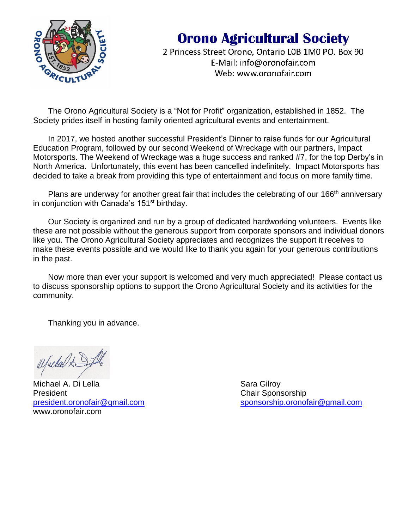

# **Orono Agricultural Society**

2 Princess Street Orono, Ontario LOB 1M0 PO. Box 90 E-Mail: info@oronofair.com Web: www.oronofair.com

The Orono Agricultural Society is a "Not for Profit" organization, established in 1852. The Society prides itself in hosting family oriented agricultural events and entertainment.

In 2017, we hosted another successful President's Dinner to raise funds for our Agricultural Education Program, followed by our second Weekend of Wreckage with our partners, Impact Motorsports. The Weekend of Wreckage was a huge success and ranked #7, for the top Derby's in North America. Unfortunately, this event has been cancelled indefinitely. Impact Motorsports has decided to take a break from providing this type of entertainment and focus on more family time.

Plans are underway for another great fair that includes the celebrating of our 166<sup>th</sup> anniversary in conjunction with Canada's 151<sup>st</sup> birthday.

Our Society is organized and run by a group of dedicated hardworking volunteers. Events like these are not possible without the generous support from corporate sponsors and individual donors like you. The Orono Agricultural Society appreciates and recognizes the support it receives to make these events possible and we would like to thank you again for your generous contributions in the past.

Now more than ever your support is welcomed and very much appreciated! Please contact us to discuss sponsorship options to support the Orono Agricultural Society and its activities for the community.

Thanking you in advance.

W/weden AS

Michael A. Di Lella Sara Gilroy President Chair Sponsorship www.oronofair.com

[president.oronofair@gmail.com](mailto:president.oronofair@gmail.com) [sponsorship.oronofair@gmail.com](mailto:sponsorship.oronofair@gmail.com)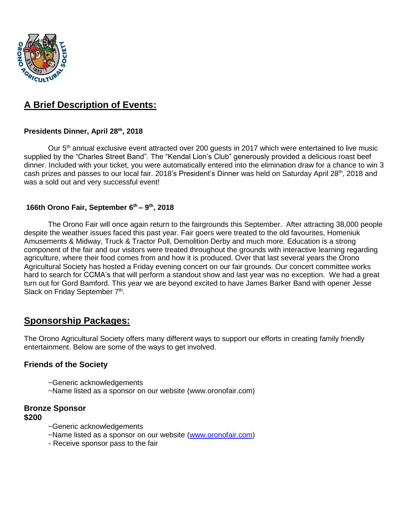

# **A Brief Description of Events:**

#### **Presidents Dinner, April 28th, 2018**

Our 5<sup>th</sup> annual exclusive event attracted over 200 guests in 2017 which were entertained to live music supplied by the "Charles Street Band". The "Kendal Lion's Club" generously provided a delicious roast beef dinner. Included with your ticket, you were automatically entered into the elimination draw for a chance to win 3 cash prizes and passes to our local fair. 2018's President's Dinner was held on Saturday April 28<sup>th</sup>, 2018 and was a sold out and very successful event!

#### **166th Orono Fair, September 6th – 9 th , 2018**

The Orono Fair will once again return to the fairgrounds this September. After attracting 38,000 people despite the weather issues faced this past year. Fair goers were treated to the old favourites, Homeniuk Amusements & Midway, Truck & Tractor Pull, Demolition Derby and much more. Education is a strong component of the fair and our visitors were treated throughout the grounds with interactive learning regarding agriculture, where their food comes from and how it is produced. Over that last several years the Orono Agricultural Society has hosted a Friday evening concert on our fair grounds. Our concert committee works hard to search for CCMA's that will perform a standout show and last year was no exception. We had a great turn out for Gord Bamford. This year we are beyond excited to have James Barker Band with opener Jesse Slack on Friday September 7<sup>th</sup>.

## **Sponsorship Packages:**

The Orono Agricultural Society offers many different ways to support our efforts in creating family friendly entertainment. Below are some of the ways to get involved.

#### **Friends of the Society**

- ~Generic acknowledgements
- ~Name listed as a sponsor on our website (www.oronofair.com)

#### **Bronze Sponsor \$200**

- ~Generic acknowledgements
- ~Name listed as a sponsor on our website [\(www.oronofair.com\)](http://www.oronofair.com/)
- Receive sponsor pass to the fair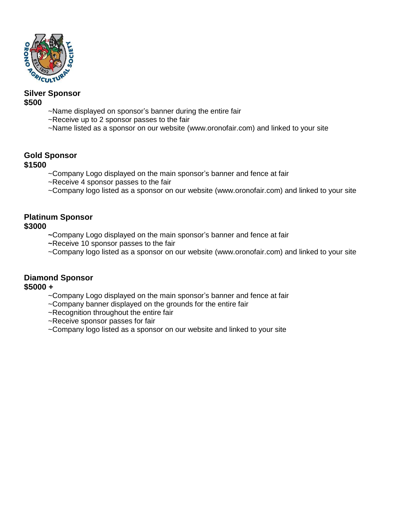

#### **Silver Sponsor \$500**

- ~Name displayed on sponsor's banner during the entire fair
- ~Receive up to 2 sponsor passes to the fair
- ~Name listed as a sponsor on our website (www.oronofair.com) and linked to your site

# **Gold Sponsor**

## **\$1500**

- ~Company Logo displayed on the main sponsor's banner and fence at fair
- ~Receive 4 sponsor passes to the fair
- ~Company logo listed as a sponsor on our website (www.oronofair.com) and linked to your site

### **Platinum Sponsor \$3000**

- **~**Company Logo displayed on the main sponsor's banner and fence at fair
- **~**Receive 10 sponsor passes to the fair
- ~Company logo listed as a sponsor on our website (www.oronofair.com) and linked to your site

## **Diamond Sponsor**

## **\$5000 +**

- ~Company Logo displayed on the main sponsor's banner and fence at fair
- ~Company banner displayed on the grounds for the entire fair
- ~Recognition throughout the entire fair
- ~Receive sponsor passes for fair
- ~Company logo listed as a sponsor on our website and linked to your site